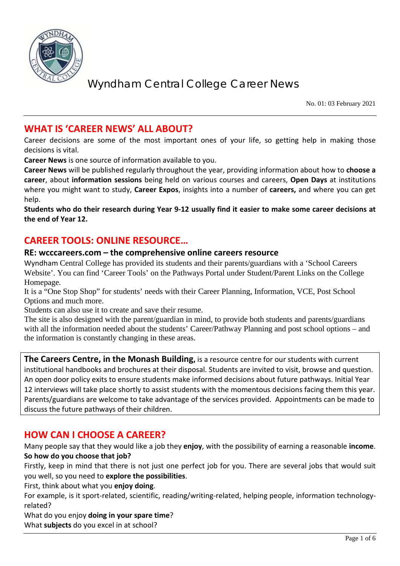

No. 01: 03 February 2021

### **WHAT IS 'CAREER NEWS' ALL ABOUT?**

Career decisions are some of the most important ones of your life, so getting help in making those decisions is vital.

**Career News** is one source of information available to you.

**Career News** will be published regularly throughout the year, providing information about how to **choose a career**, about **information sessions** being held on various courses and careers, **Open Days** at institutions where you might want to study, **Career Expos**, insights into a number of **careers,** and where you can get help.

**Students who do their research during Year 9-12 usually find it easier to make some career decisions at the end of Year 12.**

### **CAREER TOOLS: ONLINE RESOURCE…**

#### **RE: wcccareers.com – the comprehensive online careers resource**

Wyndham Central College has provided its students and their parents/guardians with a 'School Careers Website'. You can find 'Career Tools' on the Pathways Portal under Student/Parent Links on the College Homepage.

It is a "One Stop Shop" for students' needs with their Career Planning, Information, VCE, Post School Options and much more.

Students can also use it to create and save their resume.

The site is also designed with the parent/guardian in mind, to provide both students and parents/guardians with all the information needed about the students' Career/Pathway Planning and post school options – and the information is constantly changing in these areas.

**The Careers Centre, in the Monash Building,** is a resource centre for our students with current institutional handbooks and brochures at their disposal. Students are invited to visit, browse and question. An open door policy exits to ensure students make informed decisions about future pathways. Initial Year 12 interviews will take place shortly to assist students with the momentous decisions facing them this year. Parents/guardians are welcome to take advantage of the services provided. Appointments can be made to discuss the future pathways of their children.

### **HOW CAN I CHOOSE A CAREER?**

Many people say that they would like a job they **enjoy**, with the possibility of earning a reasonable **income**. **So how do you choose that job?**

Firstly, keep in mind that there is not just one perfect job for you. There are several jobs that would suit you well, so you need to **explore the possibilities**.

First, think about what you **enjoy doing**.

For example, is it sport-related, scientific, reading/writing-related, helping people, information technologyrelated?

What do you enjoy **doing in your spare time**?

What **subjects** do you excel in at school?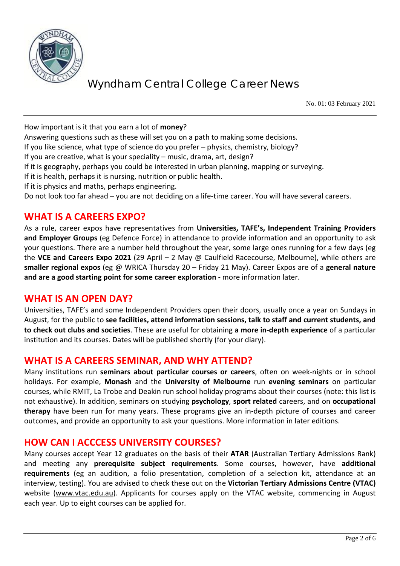

No. 01: 03 February 2021

How important is it that you earn a lot of **money**?

Answering questions such as these will set you on a path to making some decisions.

If you like science, what type of science do you prefer – physics, chemistry, biology?

If you are creative, what is your speciality – music, drama, art, design?

If it is geography, perhaps you could be interested in urban planning, mapping or surveying.

If it is health, perhaps it is nursing, nutrition or public health.

If it is physics and maths, perhaps engineering.

Do not look too far ahead – you are not deciding on a life-time career. You will have several careers.

### **WHAT IS A CAREERS EXPO?**

As a rule, career expos have representatives from **Universities, TAFE's, Independent Training Providers and Employer Groups** (eg Defence Force) in attendance to provide information and an opportunity to ask your questions. There are a number held throughout the year, some large ones running for a few days (eg the **VCE and Careers Expo 2021** (29 April – 2 May @ Caulfield Racecourse, Melbourne), while others are **smaller regional expos** (eg @ WRICA Thursday 20 – Friday 21 May). Career Expos are of a **general nature and are a good starting point for some career exploration** - more information later.

#### **WHAT IS AN OPEN DAY?**

Universities, TAFE's and some Independent Providers open their doors, usually once a year on Sundays in August, for the public to **see facilities, attend information sessions, talk to staff and current students, and to check out clubs and societies**. These are useful for obtaining **a more in-depth experience** of a particular institution and its courses. Dates will be published shortly (for your diary).

#### **WHAT IS A CAREERS SEMINAR, AND WHY ATTEND?**

Many institutions run **seminars about particular courses or careers**, often on week-nights or in school holidays. For example, **Monash** and the **University of Melbourne** run **evening seminars** on particular courses, while RMIT, La Trobe and Deakin run school holiday programs about their courses (note: this list is not exhaustive). In addition, seminars on studying **psychology**, **sport related** careers, and on **occupational therapy** have been run for many years. These programs give an in-depth picture of courses and career outcomes, and provide an opportunity to ask your questions. More information in later editions.

#### **HOW CAN I ACCCESS UNIVERSITY COURSES?**

Many courses accept Year 12 graduates on the basis of their **ATAR** (Australian Tertiary Admissions Rank) and meeting any **prerequisite subject requirements**. Some courses, however, have **additional requirements** (eg an audition, a folio presentation, completion of a selection kit, attendance at an interview, testing). You are advised to check these out on the **Victorian Tertiary Admissions Centre (VTAC)** website [\(www.vtac.edu.au\)](http://www.vtac.edu.au/). Applicants for courses apply on the VTAC website, commencing in August each year. Up to eight courses can be applied for.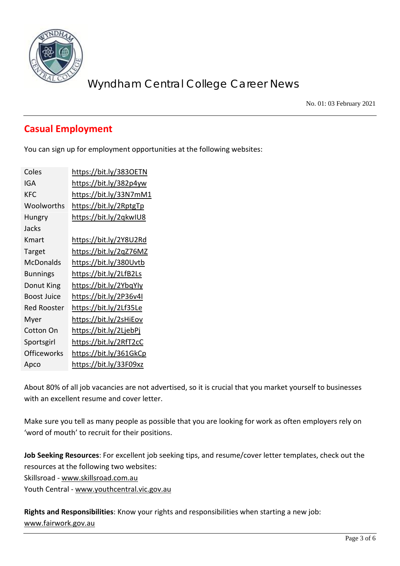

No. 01: 03 February 2021

## **Casual Employment**

You can sign up for employment opportunities at the following websites:

| Coles              | https://bit.ly/3830ETN |
|--------------------|------------------------|
| IGA                | https://bit.ly/382p4yw |
| KFC                | https://bit.ly/33N7mM1 |
| Woolworths         | https://bit.ly/2RptgTp |
| Hungry             | https://bit.ly/2qkwIU8 |
| Jacks              |                        |
| Kmart              | https://bit.ly/2Y8U2Rd |
| Target             | https://bit.ly/2qZ76MZ |
| McDonalds          | https://bit.ly/380Uvtb |
| <b>Bunnings</b>    | https://bit.ly/2LfB2Ls |
| Donut King         | https://bit.ly/2YbqYly |
| Boost Juice        | https://bit.ly/2P36v4I |
| Red Rooster        | https://bit.ly/2Lf35Le |
| Myer               | https://bit.ly/2sHiEov |
| Cotton On          | https://bit.ly/2LjebPj |
| Sportsgirl         | https://bit.ly/2RfT2cC |
| <b>Officeworks</b> | https://bit.ly/361GkCp |
| Apco               | https://bit.ly/33F09xz |

About 80% of all job vacancies are not advertised, so it is crucial that you market yourself to businesses with an excellent resume and cover letter.

Make sure you tell as many people as possible that you are looking for work as often employers rely on 'word of mouth' to recruit for their positions.

**Job Seeking Resources**: For excellent job seeking tips, and resume/cover letter templates, check out the resources at the following two websites:

Skillsroad - [www.skillsroad.com.au](http://www.skillsroad.com.au/) 

Youth Central - [www.youthcentral.vic.gov.au](http://www.youthcentral.vic.gov.au/)

**Rights and Responsibilities**: Know your rights and responsibilities when starting a new job: [www.fairwork.gov.au](http://www.fairwork.gov.au/)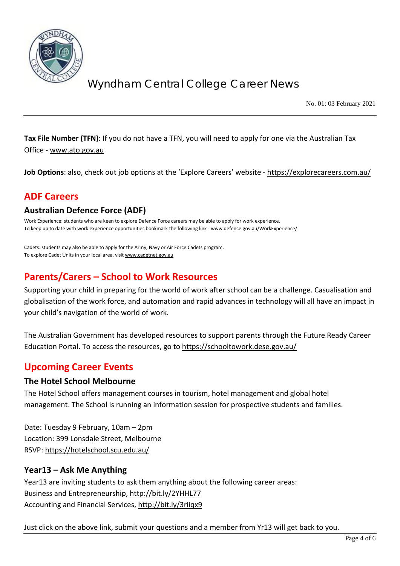

No. 01: 03 February 2021

**Tax File Number (TFN)**: If you do not have a TFN, you will need to apply for one via the Australian Tax Office - [www.ato.gov.au](http://www.ato.gov.au/)

**Job Options**: also, check out job options at the 'Explore Careers' website - <https://explorecareers.com.au/>

### **ADF Careers**

#### **Australian Defence Force (ADF)**

Work Experience: students who are keen to explore Defence Force careers may be able to apply for work experience. To keep up to date with work experience opportunities bookmark the following link - [www.defence.gov.au/WorkExperience/](http://www.defence.gov.au/WorkExperience/)

Cadets: students may also be able to apply for the Army, Navy or Air Force Cadets program. To explore Cadet Units in your local area, visi[t www.cadetnet.gov.au](http://www.cadetnet.gov.au/)

### **Parents/Carers – School to Work Resources**

Supporting your child in preparing for the world of work after school can be a challenge. Casualisation and globalisation of the work force, and automation and rapid advances in technology will all have an impact in your child's navigation of the world of work.

The Australian Government has developed resources to support parents through the Future Ready Career Education Portal. To access the resources, go to<https://schooltowork.dese.gov.au/>

### **Upcoming Career Events**

#### **The Hotel School Melbourne**

The Hotel School offers management courses in tourism, hotel management and global hotel management. The School is running an information session for prospective students and families.

Date: Tuesday 9 February, 10am – 2pm Location: 399 Lonsdale Street, Melbourne RSVP:<https://hotelschool.scu.edu.au/>

#### **Year13 – Ask Me Anything**

Year13 are inviting students to ask them anything about the following career areas: Business and Entrepreneurship,<http://bit.ly/2YHHL77> Accounting and Financial Services,<http://bit.ly/3riiqx9>

Just click on the above link, submit your questions and a member from Yr13 will get back to you.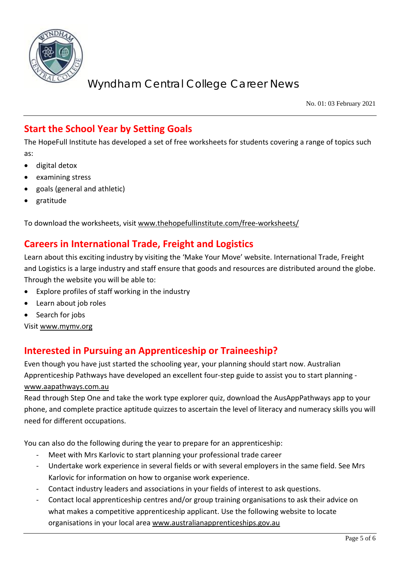

No. 01: 03 February 2021

## **Start the School Year by Setting Goals**

The HopeFull Institute has developed a set of free worksheets for students covering a range of topics such as:

- digital detox
- examining stress
- goals (general and athletic)
- gratitude

To download the worksheets, visit [www.thehopefullinstitute.com/free-worksheets/](http://www.thehopefullinstitute.com/free-worksheets/)

### **Careers in International Trade, Freight and Logistics**

Learn about this exciting industry by visiting the 'Make Your Move' website. International Trade, Freight and Logistics is a large industry and staff ensure that goods and resources are distributed around the globe. Through the website you will be able to:

- Explore profiles of staff working in the industry
- Learn about job roles
- Search for jobs

Visi[t www.mymv.org](http://www.mymv.org/)

### **Interested in Pursuing an Apprenticeship or Traineeship?**

Even though you have just started the schooling year, your planning should start now. Australian Apprenticeship Pathways have developed an excellent four-step guide to assist you to start planning [www.aapathways.com.au](http://www.aapathways.com.au/)

Read through Step One and take the work type explorer quiz, download the AusAppPathways app to your phone, and complete practice aptitude quizzes to ascertain the level of literacy and numeracy skills you will need for different occupations.

You can also do the following during the year to prepare for an apprenticeship:

- Meet with Mrs Karlovic to start planning your professional trade career
- Undertake work experience in several fields or with several employers in the same field. See Mrs Karlovic for information on how to organise work experience.
- Contact industry leaders and associations in your fields of interest to ask questions.
- Contact local apprenticeship centres and/or group training organisations to ask their advice on what makes a competitive apprenticeship applicant. Use the following website to locate organisations in your local are[a www.australianapprenticeships.gov.au](http://www.australianapprenticeships.gov.au/)